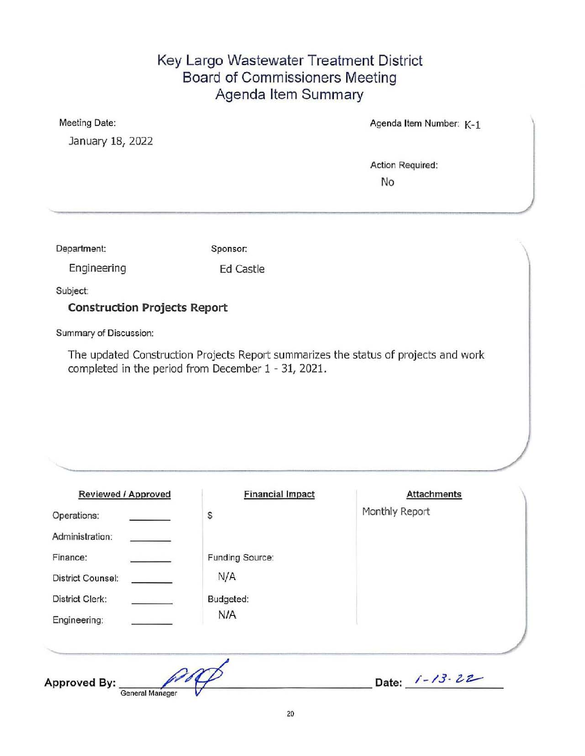## Key Largo Wastewater Treatment District Board of Commissioners Meeting Agenda Item Summary

January 18, 2022

Meeting Date: Meeting Date: Agenda Item Number: K-1

Action Required: No

Department: Sponsor:

Engineering Ed Castle

Subject:

Construction Projects Report

Summary of Discussion:

The updated Construction Projects Report summarizes the status of projects and work completed in the period from December 1 - 31, 2021.

| <b>Financial Impact</b> | <b>Attachments</b>  |
|-------------------------|---------------------|
| \$                      | Monthly Report      |
|                         |                     |
| Funding Source:         |                     |
| N/A                     |                     |
| Budgeted:               |                     |
| N/A                     |                     |
|                         |                     |
|                         | Date: $1 - 13 - 22$ |
|                         |                     |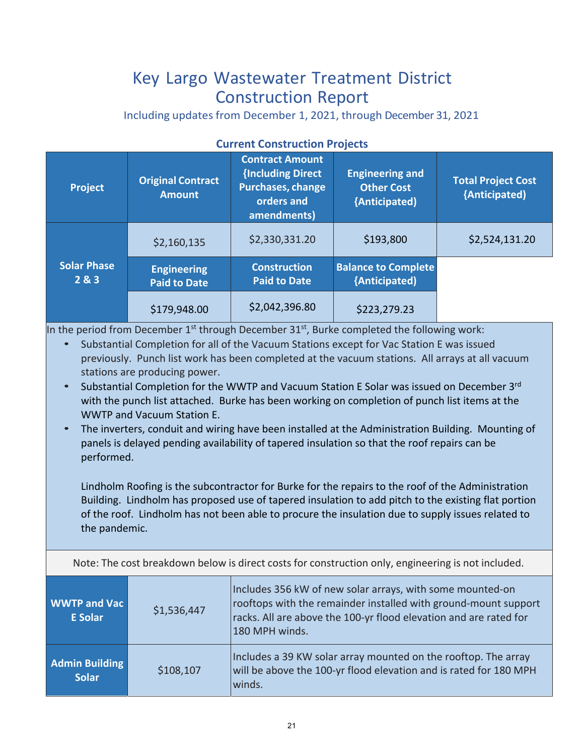## Key Largo Wastewater Treatment District Construction Report

Including updates from December 1, 2021, through December 31, 2021

| <b>Project</b>              | <b>Original Contract</b><br><b>Amount</b> | <b>Contract Amount</b><br>{Including Direct<br>Purchases, change<br>orders and<br>amendments) | <b>Engineering and</b><br><b>Other Cost</b><br>{Anticipated} | <b>Total Project Cost</b><br>{Anticipated) |
|-----------------------------|-------------------------------------------|-----------------------------------------------------------------------------------------------|--------------------------------------------------------------|--------------------------------------------|
|                             | \$2,160,135                               | \$2,330,331.20                                                                                | \$193,800                                                    | \$2,524,131.20                             |
| <b>Solar Phase</b><br>2 & 3 | <b>Engineering</b><br><b>Paid to Date</b> | <b>Construction</b><br><b>Paid to Date</b>                                                    | <b>Balance to Complete</b><br>{Anticipated)                  |                                            |
|                             | \$179,948.00                              | \$2,042,396.80                                                                                | \$223,279.23                                                 |                                            |

## **Current Construction Projects**

In the period from December  $1^{st}$  through December 31 $^{st}$ , Burke completed the following work:

- Substantial Completion for all of the Vacuum Stations except for Vac Station E was issued previously. Punch list work has been completed at the vacuum stations. All arrays at all vacuum stations are producing power.
- Substantial Completion for the WWTP and Vacuum Station E Solar was issued on December 3<sup>rd</sup> with the punch list attached. Burke has been working on completion of punch list items at the WWTP and Vacuum Station E.
- The inverters, conduit and wiring have been installed at the Administration Building. Mounting of panels is delayed pending availability of tapered insulation so that the roof repairs can be performed.

Lindholm Roofing is the subcontractor for Burke for the repairs to the roof of the Administration Building. Lindholm has proposed use of tapered insulation to add pitch to the existing flat portion of the roof. Lindholm has not been able to procure the insulation due to supply issues related to the pandemic.

Note: The cost breakdown below is direct costs for construction only, engineering is not included.

| <b>WWTP and Vac</b><br><b>E</b> Solar | \$1,536,447 | Includes 356 kW of new solar arrays, with some mounted-on<br>rooftops with the remainder installed with ground-mount support<br>racks. All are above the 100-yr flood elevation and are rated for<br>180 MPH winds. |
|---------------------------------------|-------------|---------------------------------------------------------------------------------------------------------------------------------------------------------------------------------------------------------------------|
| <b>Admin Building</b><br><b>Solar</b> | \$108,107   | Includes a 39 KW solar array mounted on the rooftop. The array<br>will be above the 100-yr flood elevation and is rated for 180 MPH<br>winds.                                                                       |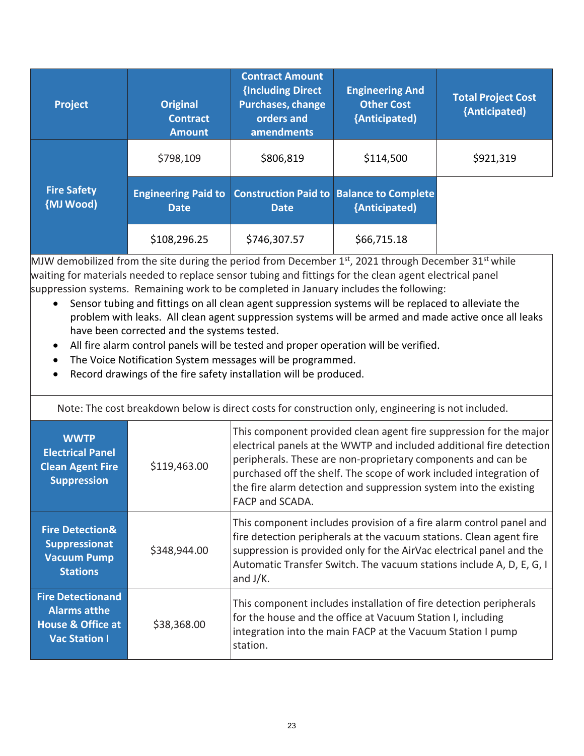| <b>Project</b>                  | <b>Original</b><br><b>Contract</b><br><b>Amount</b> | <b>Contract Amount</b><br>{Including Direct<br><b>Purchases, change</b><br>orders and<br>amendments | <b>Engineering And</b><br><b>Other Cost</b><br>{Anticipated)     | <b>Total Project Cost</b><br>{Anticipated) |
|---------------------------------|-----------------------------------------------------|-----------------------------------------------------------------------------------------------------|------------------------------------------------------------------|--------------------------------------------|
|                                 | \$798,109                                           | \$806,819                                                                                           | \$114,500                                                        | \$921,319                                  |
| <b>Fire Safety</b><br>{MJ Wood) | <b>Engineering Paid to</b><br><b>Date</b>           | <b>Date</b>                                                                                         | <b>Construction Paid to Balance to Complete</b><br>{Anticipated) |                                            |
|                                 | \$108,296.25                                        | \$746,307.57                                                                                        | \$66,715.18                                                      |                                            |

MJW demobilized from the site during the period from December 1st, 2021 through December 31st while waiting for materials needed to replace sensor tubing and fittings for the clean agent electrical panel suppression systems. Remaining work to be completed in January includes the following:

- Sensor tubing and fittings on all clean agent suppression systems will be replaced to alleviate the problem with leaks. All clean agent suppression systems will be armed and made active once all leaks have been corrected and the systems tested.
- All fire alarm control panels will be tested and proper operation will be verified.
- The Voice Notification System messages will be programmed.
- Record drawings of the fire safety installation will be produced.

| Note: The cost breakdown below is direct costs for construction only, engineering is not included.      |              |                                                                                                                                                                                                                                                                                                                                                                          |  |
|---------------------------------------------------------------------------------------------------------|--------------|--------------------------------------------------------------------------------------------------------------------------------------------------------------------------------------------------------------------------------------------------------------------------------------------------------------------------------------------------------------------------|--|
| <b>WWTP</b><br><b>Electrical Panel</b><br><b>Clean Agent Fire</b><br><b>Suppression</b>                 | \$119,463.00 | This component provided clean agent fire suppression for the major<br>electrical panels at the WWTP and included additional fire detection<br>peripherals. These are non-proprietary components and can be<br>purchased off the shelf. The scope of work included integration of<br>the fire alarm detection and suppression system into the existing<br>FACP and SCADA. |  |
| <b>Fire Detection&amp;</b><br><b>Suppressionat</b><br><b>Vacuum Pump</b><br><b>Stations</b>             | \$348,944.00 | This component includes provision of a fire alarm control panel and<br>fire detection peripherals at the vacuum stations. Clean agent fire<br>suppression is provided only for the AirVac electrical panel and the<br>Automatic Transfer Switch. The vacuum stations include A, D, E, G, I<br>and $J/K$ .                                                                |  |
| <b>Fire Detectionand</b><br><b>Alarms atthe</b><br><b>House &amp; Office at</b><br><b>Vac Station I</b> | \$38,368.00  | This component includes installation of fire detection peripherals<br>for the house and the office at Vacuum Station I, including<br>integration into the main FACP at the Vacuum Station I pump<br>station.                                                                                                                                                             |  |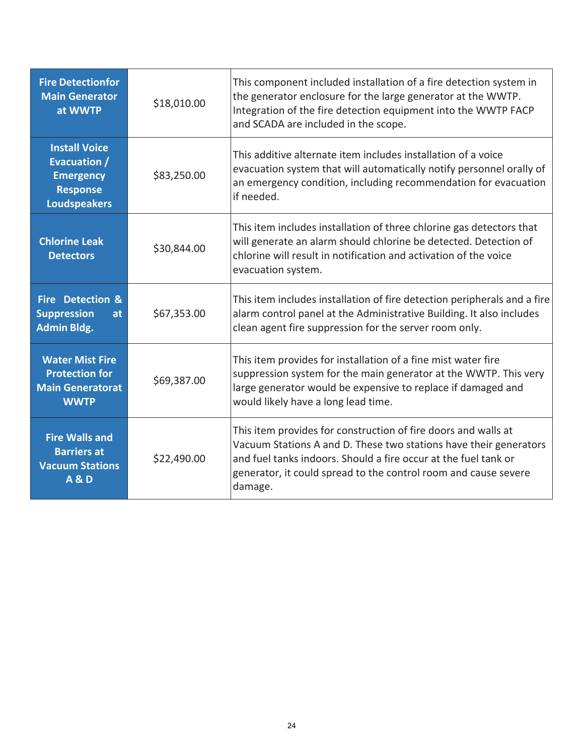| <b>Fire Detectionfor</b><br><b>Main Generator</b><br>at WWTP                                              | \$18,010.00 | This component included installation of a fire detection system in<br>the generator enclosure for the large generator at the WWTP.<br>Integration of the fire detection equipment into the WWTP FACP<br>and SCADA are included in the scope.                                         |
|-----------------------------------------------------------------------------------------------------------|-------------|--------------------------------------------------------------------------------------------------------------------------------------------------------------------------------------------------------------------------------------------------------------------------------------|
| <b>Install Voice</b><br><b>Evacuation /</b><br><b>Emergency</b><br><b>Response</b><br><b>Loudspeakers</b> | \$83,250.00 | This additive alternate item includes installation of a voice<br>evacuation system that will automatically notify personnel orally of<br>an emergency condition, including recommendation for evacuation<br>if needed.                                                               |
| <b>Chlorine Leak</b><br><b>Detectors</b>                                                                  | \$30,844.00 | This item includes installation of three chlorine gas detectors that<br>will generate an alarm should chlorine be detected. Detection of<br>chlorine will result in notification and activation of the voice<br>evacuation system.                                                   |
| <b>Fire Detection &amp;</b><br><b>Suppression</b><br>at<br><b>Admin Bldg.</b>                             | \$67,353.00 | This item includes installation of fire detection peripherals and a fire<br>alarm control panel at the Administrative Building. It also includes<br>clean agent fire suppression for the server room only.                                                                           |
| <b>Water Mist Fire</b><br><b>Protection for</b><br><b>Main Generatorat</b><br><b>WWTP</b>                 | \$69,387.00 | This item provides for installation of a fine mist water fire<br>suppression system for the main generator at the WWTP. This very<br>large generator would be expensive to replace if damaged and<br>would likely have a long lead time.                                             |
| <b>Fire Walls and</b><br><b>Barriers at</b><br><b>Vacuum Stations</b><br><b>A&amp;D</b>                   | \$22,490.00 | This item provides for construction of fire doors and walls at<br>Vacuum Stations A and D. These two stations have their generators<br>and fuel tanks indoors. Should a fire occur at the fuel tank or<br>generator, it could spread to the control room and cause severe<br>damage. |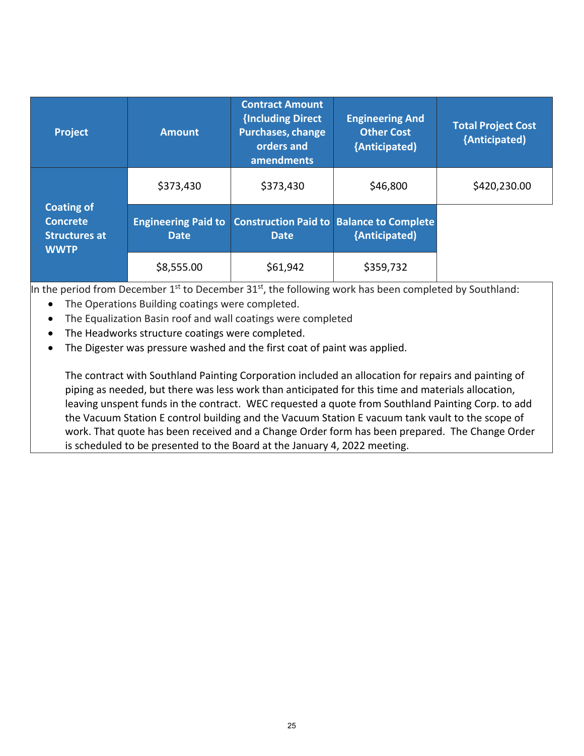| <b>Project</b>                                                              | <b>Amount</b>                             | <b>Contract Amount</b><br>{Including Direct<br><b>Purchases, change</b><br>orders and<br>amendments | <b>Engineering And</b><br><b>Other Cost</b><br>{Anticipated)     | <b>Total Project Cost</b><br>{Anticipated) |
|-----------------------------------------------------------------------------|-------------------------------------------|-----------------------------------------------------------------------------------------------------|------------------------------------------------------------------|--------------------------------------------|
| <b>Coating of</b><br><b>Concrete</b><br><b>Structures at</b><br><b>WWTP</b> | \$373,430                                 | \$373,430                                                                                           | \$46,800                                                         | \$420,230.00                               |
|                                                                             | <b>Engineering Paid to</b><br><b>Date</b> | <b>Date</b>                                                                                         | <b>Construction Paid to Balance to Complete</b><br>{Anticipated} |                                            |
|                                                                             | \$8,555.00                                | \$61,942                                                                                            | \$359,732                                                        |                                            |

In the period from December  $1^{st}$  to December  $31^{st}$ , the following work has been completed by Southland:

- The Operations Building coatings were completed.
- The Equalization Basin roof and wall coatings were completed
- The Headworks structure coatings were completed.
- The Digester was pressure washed and the first coat of paint was applied.

The contract with Southland Painting Corporation included an allocation for repairs and painting of piping as needed, but there was less work than anticipated for this time and materials allocation, leaving unspent funds in the contract. WEC requested a quote from Southland Painting Corp. to add the Vacuum Station E control building and the Vacuum Station E vacuum tank vault to the scope of work. That quote has been received and a Change Order form has been prepared. The Change Order is scheduled to be presented to the Board at the January 4, 2022 meeting.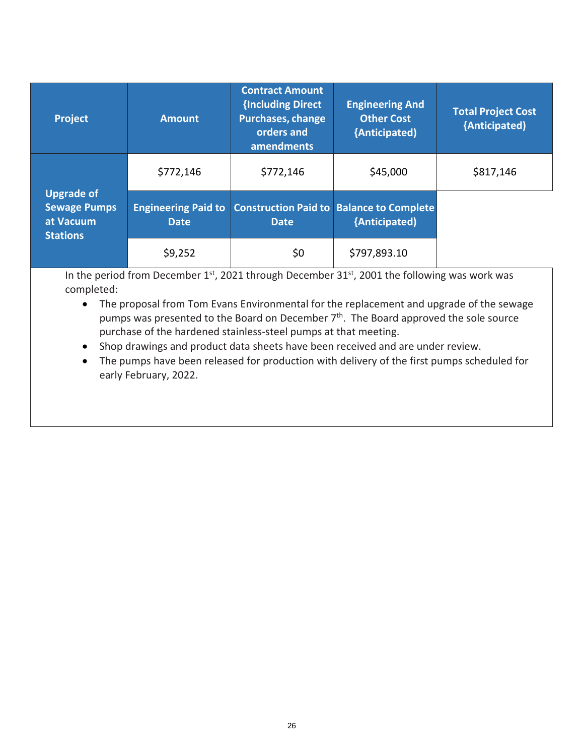| <b>Project</b>                                                           | <b>Amount</b>                             | <b>Contract Amount</b><br>{Including Direct<br><b>Purchases, change</b><br>orders and<br>amendments | <b>Engineering And</b><br><b>Other Cost</b><br>{Anticipated)     | <b>Total Project Cost</b><br>{Anticipated) |
|--------------------------------------------------------------------------|-------------------------------------------|-----------------------------------------------------------------------------------------------------|------------------------------------------------------------------|--------------------------------------------|
| <b>Upgrade of</b><br><b>Sewage Pumps</b><br>at Vacuum<br><b>Stations</b> | \$772,146                                 | \$772,146                                                                                           | \$45,000                                                         | \$817,146                                  |
|                                                                          | <b>Engineering Paid to</b><br><b>Date</b> | <b>Date</b>                                                                                         | <b>Construction Paid to Balance to Complete</b><br>{Anticipated) |                                            |
|                                                                          | \$9,252                                   | \$0                                                                                                 | \$797,893.10                                                     |                                            |

In the period from December 1<sup>st</sup>, 2021 through December 31<sup>st</sup>, 2001 the following was work was completed:

- The proposal from Tom Evans Environmental for the replacement and upgrade of the sewage pumps was presented to the Board on December  $7<sup>th</sup>$ . The Board approved the sole source purchase of the hardened stainless‐steel pumps at that meeting.
- Shop drawings and product data sheets have been received and are under review.
- The pumps have been released for production with delivery of the first pumps scheduled for early February, 2022.